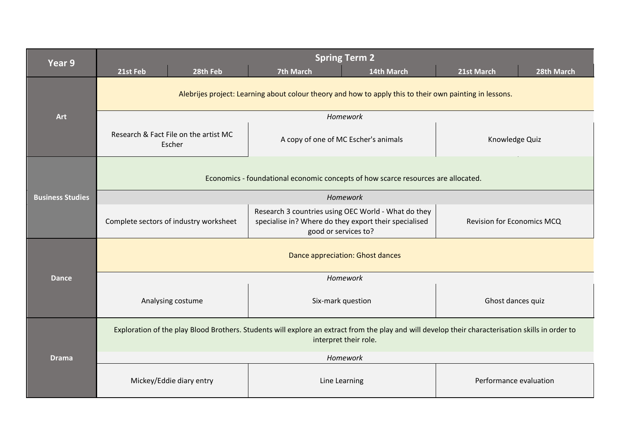| Year 9                  | <b>Spring Term 2</b>                                                                                                                                                       |                                                                                                                                      |                                   |  |  |  |
|-------------------------|----------------------------------------------------------------------------------------------------------------------------------------------------------------------------|--------------------------------------------------------------------------------------------------------------------------------------|-----------------------------------|--|--|--|
|                         | 21st Feb<br>28th Feb                                                                                                                                                       | <b>7th March</b><br>14th March                                                                                                       | 28th March<br>21st March          |  |  |  |
|                         | Alebrijes project: Learning about colour theory and how to apply this to their own painting in lessons.                                                                    |                                                                                                                                      |                                   |  |  |  |
| <b>Art</b>              | Homework                                                                                                                                                                   |                                                                                                                                      |                                   |  |  |  |
|                         | Research & Fact File on the artist MC<br>Escher                                                                                                                            | A copy of one of MC Escher's animals                                                                                                 | Knowledge Quiz                    |  |  |  |
| <b>Business Studies</b> | Economics - foundational economic concepts of how scarce resources are allocated.                                                                                          |                                                                                                                                      |                                   |  |  |  |
|                         | Homework                                                                                                                                                                   |                                                                                                                                      |                                   |  |  |  |
|                         | Complete sectors of industry worksheet                                                                                                                                     | Research 3 countries using OEC World - What do they<br>specialise in? Where do they export their specialised<br>good or services to? | <b>Revision for Economics MCQ</b> |  |  |  |
|                         | Dance appreciation: Ghost dances                                                                                                                                           |                                                                                                                                      |                                   |  |  |  |
| <b>Dance</b>            | Homework                                                                                                                                                                   |                                                                                                                                      |                                   |  |  |  |
|                         | Analysing costume                                                                                                                                                          | Six-mark question                                                                                                                    | Ghost dances quiz                 |  |  |  |
| <b>Drama</b>            | Exploration of the play Blood Brothers. Students will explore an extract from the play and will develop their characterisation skills in order to<br>interpret their role. |                                                                                                                                      |                                   |  |  |  |
|                         | Homework                                                                                                                                                                   |                                                                                                                                      |                                   |  |  |  |
|                         | Mickey/Eddie diary entry                                                                                                                                                   | Line Learning                                                                                                                        | Performance evaluation            |  |  |  |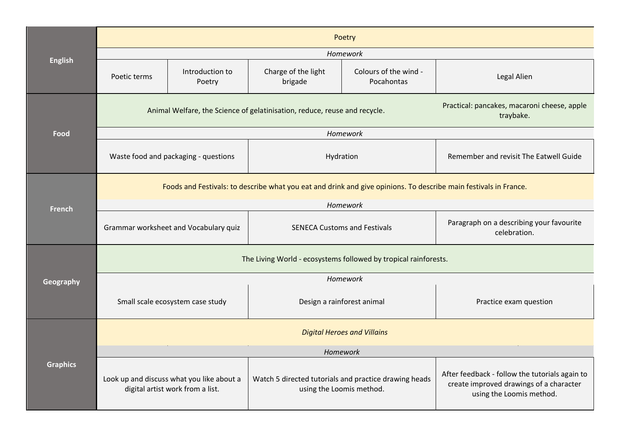|                 | Poetry                                                                                                                                |                           |                                                                                   |                                     |                                                                                                                       |  |
|-----------------|---------------------------------------------------------------------------------------------------------------------------------------|---------------------------|-----------------------------------------------------------------------------------|-------------------------------------|-----------------------------------------------------------------------------------------------------------------------|--|
| <b>English</b>  | Homework                                                                                                                              |                           |                                                                                   |                                     |                                                                                                                       |  |
|                 | Poetic terms                                                                                                                          | Introduction to<br>Poetry | Charge of the light<br>brigade                                                    | Colours of the wind -<br>Pocahontas | Legal Alien                                                                                                           |  |
| Food            | Practical: pancakes, macaroni cheese, apple<br>Animal Welfare, the Science of gelatinisation, reduce, reuse and recycle.<br>traybake. |                           |                                                                                   |                                     |                                                                                                                       |  |
|                 | Homework                                                                                                                              |                           |                                                                                   |                                     |                                                                                                                       |  |
|                 | Waste food and packaging - questions                                                                                                  |                           | Hydration                                                                         |                                     | Remember and revisit The Eatwell Guide                                                                                |  |
|                 | Foods and Festivals: to describe what you eat and drink and give opinions. To describe main festivals in France.                      |                           |                                                                                   |                                     |                                                                                                                       |  |
| <b>French</b>   | Homework                                                                                                                              |                           |                                                                                   |                                     |                                                                                                                       |  |
|                 | Grammar worksheet and Vocabulary quiz<br><b>SENECA Customs and Festivals</b>                                                          |                           | Paragraph on a describing your favourite<br>celebration.                          |                                     |                                                                                                                       |  |
|                 | The Living World - ecosystems followed by tropical rainforests.                                                                       |                           |                                                                                   |                                     |                                                                                                                       |  |
| Geography       | Homework                                                                                                                              |                           |                                                                                   |                                     |                                                                                                                       |  |
|                 | Small scale ecosystem case study                                                                                                      |                           | Design a rainforest animal                                                        |                                     | Practice exam question                                                                                                |  |
| <b>Graphics</b> | <b>Digital Heroes and Villains</b>                                                                                                    |                           |                                                                                   |                                     |                                                                                                                       |  |
|                 | Homework                                                                                                                              |                           |                                                                                   |                                     |                                                                                                                       |  |
|                 | Look up and discuss what you like about a<br>digital artist work from a list.                                                         |                           | Watch 5 directed tutorials and practice drawing heads<br>using the Loomis method. |                                     | After feedback - follow the tutorials again to<br>create improved drawings of a character<br>using the Loomis method. |  |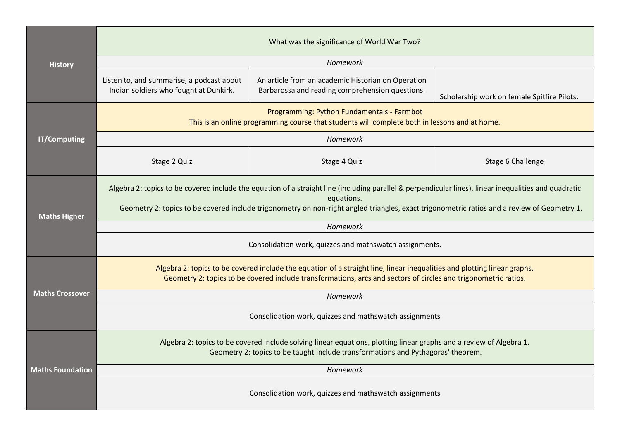|                         | What was the significance of World War Two?                                                                                                                                                                                                                                                                        |                                                                                                       |                                             |  |  |
|-------------------------|--------------------------------------------------------------------------------------------------------------------------------------------------------------------------------------------------------------------------------------------------------------------------------------------------------------------|-------------------------------------------------------------------------------------------------------|---------------------------------------------|--|--|
| <b>History</b>          | Homework                                                                                                                                                                                                                                                                                                           |                                                                                                       |                                             |  |  |
|                         | Listen to, and summarise, a podcast about<br>Indian soldiers who fought at Dunkirk.                                                                                                                                                                                                                                | An article from an academic Historian on Operation<br>Barbarossa and reading comprehension questions. | Scholarship work on female Spitfire Pilots. |  |  |
|                         | Programming: Python Fundamentals - Farmbot<br>This is an online programming course that students will complete both in lessons and at home.                                                                                                                                                                        |                                                                                                       |                                             |  |  |
| <b>IT/Computing</b>     |                                                                                                                                                                                                                                                                                                                    | Homework                                                                                              |                                             |  |  |
|                         | Stage 2 Quiz                                                                                                                                                                                                                                                                                                       | Stage 4 Quiz                                                                                          | Stage 6 Challenge                           |  |  |
| <b>Maths Higher</b>     | Algebra 2: topics to be covered include the equation of a straight line (including parallel & perpendicular lines), linear inequalities and quadratic<br>equations.<br>Geometry 2: topics to be covered include trigonometry on non-right angled triangles, exact trigonometric ratios and a review of Geometry 1. |                                                                                                       |                                             |  |  |
|                         | Homework                                                                                                                                                                                                                                                                                                           |                                                                                                       |                                             |  |  |
|                         | Consolidation work, quizzes and mathswatch assignments.                                                                                                                                                                                                                                                            |                                                                                                       |                                             |  |  |
|                         | Algebra 2: topics to be covered include the equation of a straight line, linear inequalities and plotting linear graphs.<br>Geometry 2: topics to be covered include transformations, arcs and sectors of circles and trigonometric ratios.                                                                        |                                                                                                       |                                             |  |  |
| <b>Maths Crossover</b>  | Homework                                                                                                                                                                                                                                                                                                           |                                                                                                       |                                             |  |  |
|                         | Consolidation work, quizzes and mathswatch assignments                                                                                                                                                                                                                                                             |                                                                                                       |                                             |  |  |
| <b>Maths Foundation</b> | Algebra 2: topics to be covered include solving linear equations, plotting linear graphs and a review of Algebra 1.<br>Geometry 2: topics to be taught include transformations and Pythagoras' theorem.                                                                                                            |                                                                                                       |                                             |  |  |
|                         | Homework                                                                                                                                                                                                                                                                                                           |                                                                                                       |                                             |  |  |
|                         | Consolidation work, quizzes and mathswatch assignments                                                                                                                                                                                                                                                             |                                                                                                       |                                             |  |  |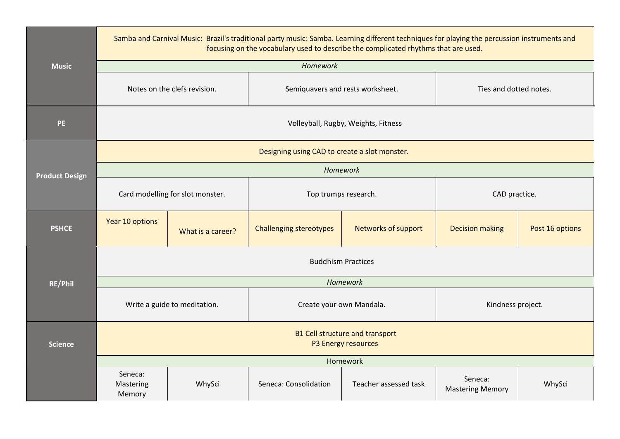|                       | Samba and Carnival Music: Brazil's traditional party music: Samba. Learning different techniques for playing the percussion instruments and<br>focusing on the vocabulary used to describe the complicated rhythms that are used. |                   |                                  |                       |                                    |                 |
|-----------------------|-----------------------------------------------------------------------------------------------------------------------------------------------------------------------------------------------------------------------------------|-------------------|----------------------------------|-----------------------|------------------------------------|-----------------|
| <b>Music</b>          |                                                                                                                                                                                                                                   |                   | Homework                         |                       |                                    |                 |
|                       | Notes on the clefs revision.                                                                                                                                                                                                      |                   | Semiquavers and rests worksheet. |                       | Ties and dotted notes.             |                 |
| <b>PE</b>             | Volleyball, Rugby, Weights, Fitness                                                                                                                                                                                               |                   |                                  |                       |                                    |                 |
|                       | Designing using CAD to create a slot monster.                                                                                                                                                                                     |                   |                                  |                       |                                    |                 |
| <b>Product Design</b> | Homework                                                                                                                                                                                                                          |                   |                                  |                       |                                    |                 |
|                       | Card modelling for slot monster.                                                                                                                                                                                                  |                   | Top trumps research.             |                       | CAD practice.                      |                 |
| <b>PSHCE</b>          | Year 10 options                                                                                                                                                                                                                   | What is a career? | <b>Challenging stereotypes</b>   | Networks of support   | <b>Decision making</b>             | Post 16 options |
|                       | <b>Buddhism Practices</b>                                                                                                                                                                                                         |                   |                                  |                       |                                    |                 |
| <b>RE/Phil</b>        | Homework                                                                                                                                                                                                                          |                   |                                  |                       |                                    |                 |
|                       | Write a guide to meditation.                                                                                                                                                                                                      |                   | Create your own Mandala.         |                       | Kindness project.                  |                 |
| <b>Science</b>        | <b>B1 Cell structure and transport</b><br>P3 Energy resources                                                                                                                                                                     |                   |                                  |                       |                                    |                 |
|                       | Homework                                                                                                                                                                                                                          |                   |                                  |                       |                                    |                 |
|                       | Seneca:<br>Mastering<br>Memory                                                                                                                                                                                                    | WhySci            | Seneca: Consolidation            | Teacher assessed task | Seneca:<br><b>Mastering Memory</b> | WhySci          |